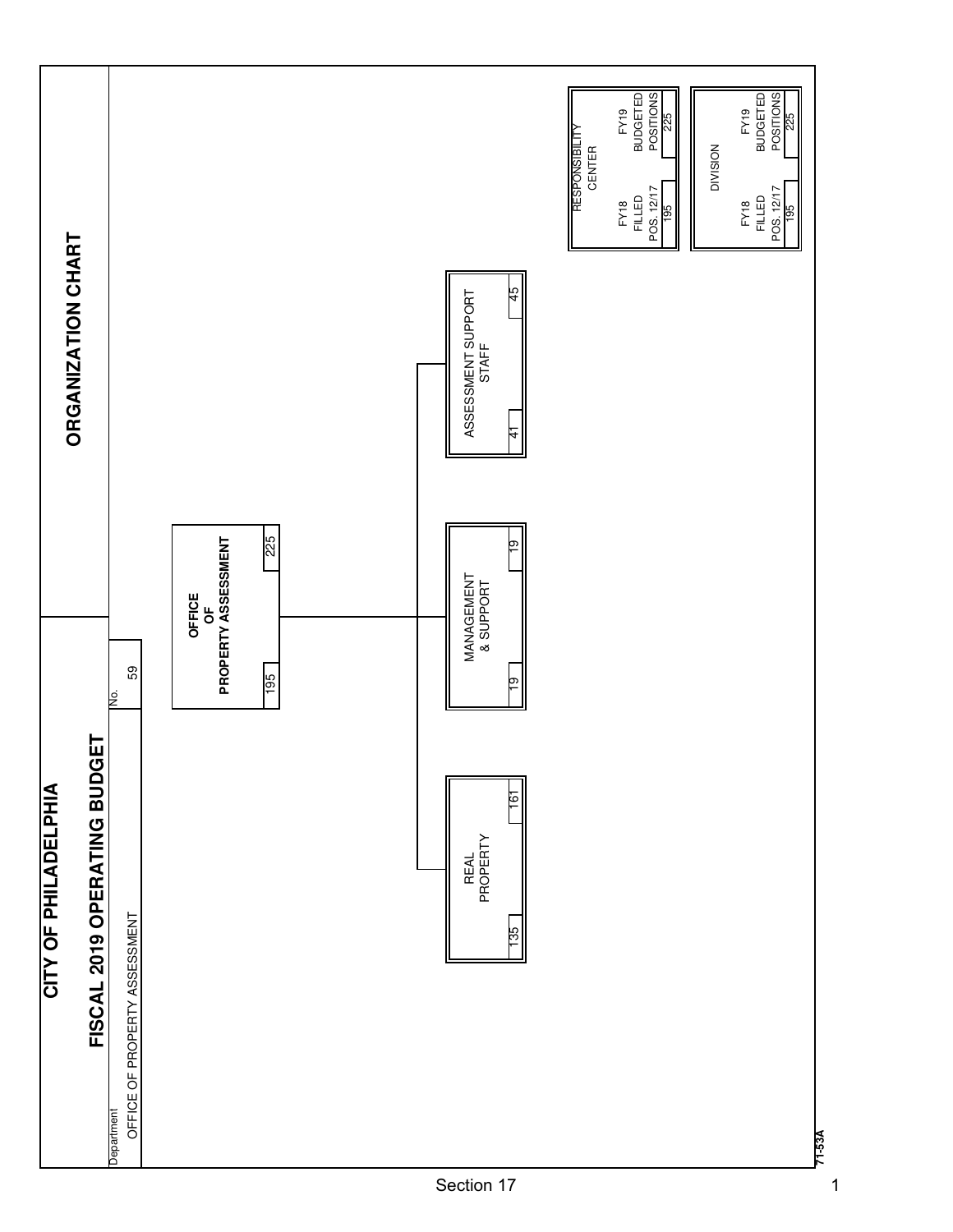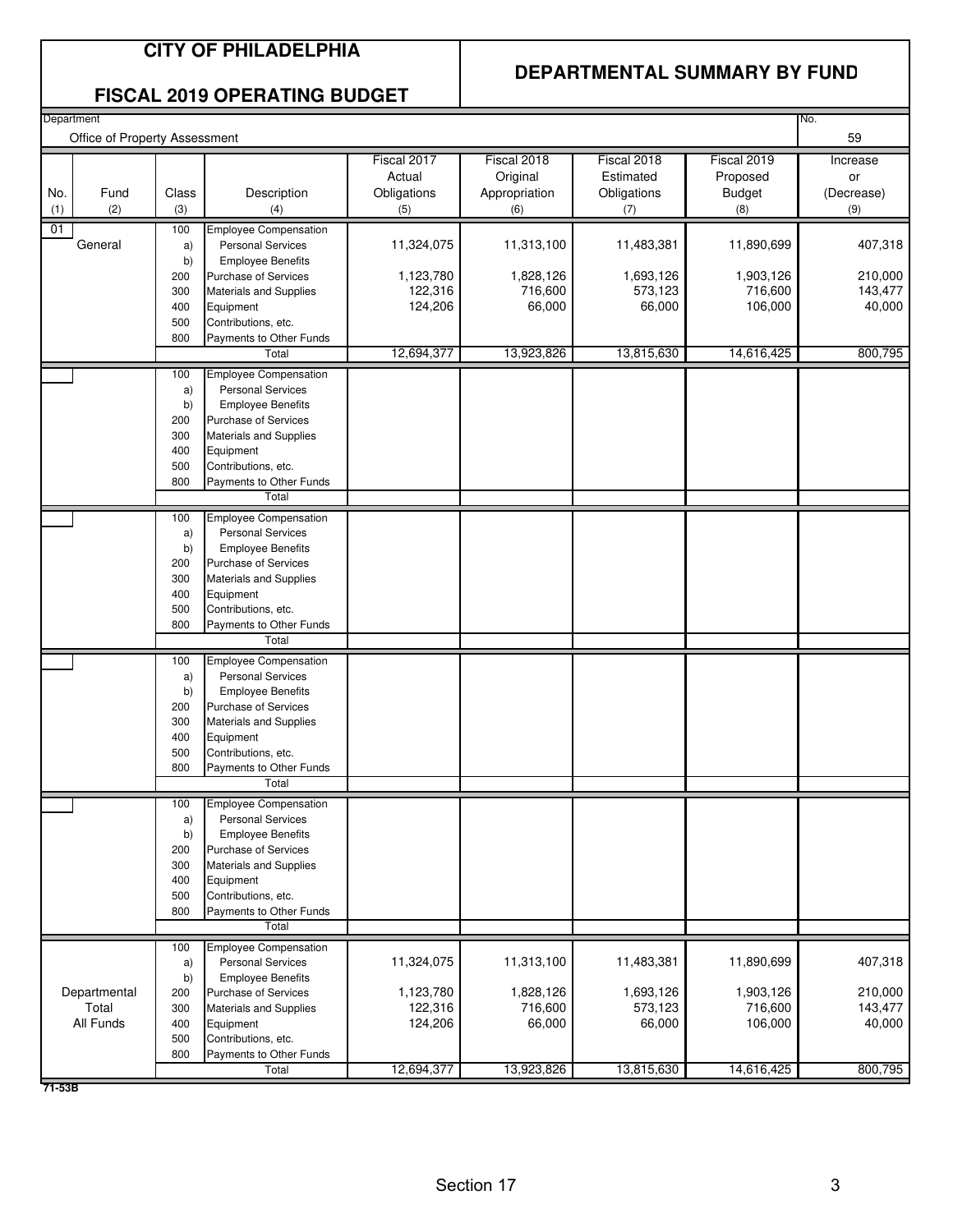### **CITY OF PHILADELPHIA**

#### **DEPARTMENTAL SUMMARY BY FUND**

#### **FISCAL 2019 OPERATING BUDGET**

| Department<br>No.<br>Office of Property Assessment |                       |            |                                                          |                      |                      |                      |                      |                    |  |
|----------------------------------------------------|-----------------------|------------|----------------------------------------------------------|----------------------|----------------------|----------------------|----------------------|--------------------|--|
|                                                    |                       |            |                                                          |                      |                      |                      |                      | 59                 |  |
|                                                    |                       |            |                                                          | Fiscal 2017          | Fiscal 2018          | Fiscal 2018          | Fiscal 2019          | Increase           |  |
|                                                    |                       |            |                                                          | Actual               | Original             | Estimated            | Proposed             | or                 |  |
| No.                                                | Fund                  | Class      | Description                                              | Obligations          | Appropriation        | Obligations          | <b>Budget</b>        | (Decrease)         |  |
| (1)                                                | (2)                   | (3)        | (4)                                                      | (5)                  | (6)                  | (7)                  | (8)                  | (9)                |  |
| 01                                                 |                       | 100        | <b>Employee Compensation</b>                             |                      |                      |                      |                      |                    |  |
|                                                    | General               | a)         | <b>Personal Services</b>                                 | 11,324,075           | 11,313,100           | 11,483,381           | 11,890,699           | 407,318            |  |
|                                                    |                       | b)         | <b>Employee Benefits</b>                                 |                      |                      |                      |                      |                    |  |
|                                                    |                       | 200        | Purchase of Services                                     | 1,123,780<br>122,316 | 1,828,126<br>716,600 | 1,693,126<br>573,123 | 1,903,126<br>716,600 | 210,000<br>143,477 |  |
|                                                    |                       | 300<br>400 | <b>Materials and Supplies</b><br>Equipment               | 124,206              | 66,000               | 66,000               | 106,000              | 40,000             |  |
|                                                    |                       | 500        | Contributions, etc.                                      |                      |                      |                      |                      |                    |  |
|                                                    |                       | 800        | Payments to Other Funds                                  |                      |                      |                      |                      |                    |  |
|                                                    |                       |            | Total                                                    | 12,694,377           | 13,923,826           | 13,815,630           | 14,616,425           | 800,795            |  |
|                                                    |                       | 100        | <b>Employee Compensation</b>                             |                      |                      |                      |                      |                    |  |
|                                                    |                       | a)         | <b>Personal Services</b>                                 |                      |                      |                      |                      |                    |  |
|                                                    |                       | b)         | <b>Employee Benefits</b>                                 |                      |                      |                      |                      |                    |  |
|                                                    |                       | 200        | Purchase of Services                                     |                      |                      |                      |                      |                    |  |
|                                                    |                       | 300        | Materials and Supplies                                   |                      |                      |                      |                      |                    |  |
|                                                    |                       | 400        | Equipment                                                |                      |                      |                      |                      |                    |  |
|                                                    |                       | 500        | Contributions, etc.                                      |                      |                      |                      |                      |                    |  |
|                                                    |                       | 800        | Payments to Other Funds                                  |                      |                      |                      |                      |                    |  |
|                                                    |                       |            | Total                                                    |                      |                      |                      |                      |                    |  |
|                                                    |                       | 100        | <b>Employee Compensation</b>                             |                      |                      |                      |                      |                    |  |
|                                                    |                       | a)         | <b>Personal Services</b>                                 |                      |                      |                      |                      |                    |  |
|                                                    |                       | b)         | <b>Employee Benefits</b><br>Purchase of Services         |                      |                      |                      |                      |                    |  |
|                                                    |                       | 200<br>300 | Materials and Supplies                                   |                      |                      |                      |                      |                    |  |
|                                                    |                       | 400        | Equipment                                                |                      |                      |                      |                      |                    |  |
|                                                    |                       | 500        | Contributions, etc.                                      |                      |                      |                      |                      |                    |  |
|                                                    |                       | 800        | Payments to Other Funds                                  |                      |                      |                      |                      |                    |  |
|                                                    |                       |            | Total                                                    |                      |                      |                      |                      |                    |  |
|                                                    |                       | 100        | <b>Employee Compensation</b>                             |                      |                      |                      |                      |                    |  |
|                                                    |                       | a)         | <b>Personal Services</b>                                 |                      |                      |                      |                      |                    |  |
|                                                    |                       | b)         | <b>Employee Benefits</b>                                 |                      |                      |                      |                      |                    |  |
|                                                    |                       | 200        | <b>Purchase of Services</b>                              |                      |                      |                      |                      |                    |  |
|                                                    |                       | 300        | <b>Materials and Supplies</b>                            |                      |                      |                      |                      |                    |  |
|                                                    |                       | 400        | Equipment                                                |                      |                      |                      |                      |                    |  |
|                                                    |                       | 500        | Contributions, etc.                                      |                      |                      |                      |                      |                    |  |
|                                                    |                       | 800        | Payments to Other Funds<br>Total                         |                      |                      |                      |                      |                    |  |
|                                                    |                       |            |                                                          |                      |                      |                      |                      |                    |  |
|                                                    |                       | 100<br>a)  | <b>Employee Compensation</b><br><b>Personal Services</b> |                      |                      |                      |                      |                    |  |
|                                                    |                       | b)         | <b>Employee Benefits</b>                                 |                      |                      |                      |                      |                    |  |
|                                                    |                       | 200        | Purchase of Services                                     |                      |                      |                      |                      |                    |  |
|                                                    |                       | 300        | Materials and Supplies                                   |                      |                      |                      |                      |                    |  |
|                                                    |                       | 400        | Equipment                                                |                      |                      |                      |                      |                    |  |
|                                                    |                       | 500        | Contributions, etc.                                      |                      |                      |                      |                      |                    |  |
|                                                    |                       | 800        | Payments to Other Funds                                  |                      |                      |                      |                      |                    |  |
|                                                    |                       |            | Total                                                    |                      |                      |                      |                      |                    |  |
|                                                    |                       | 100        | <b>Employee Compensation</b>                             |                      |                      |                      |                      |                    |  |
|                                                    |                       | a)         | <b>Personal Services</b>                                 | 11,324,075           | 11,313,100           | 11,483,381           | 11,890,699           | 407,318            |  |
|                                                    |                       | b)         | <b>Employee Benefits</b>                                 |                      |                      |                      |                      | 210,000            |  |
|                                                    | Departmental<br>Total | 200<br>300 | Purchase of Services<br>Materials and Supplies           | 1,123,780<br>122,316 | 1,828,126<br>716,600 | 1,693,126<br>573,123 | 1,903,126<br>716,600 | 143,477            |  |
|                                                    | All Funds             | 400        | Equipment                                                | 124,206              | 66,000               | 66,000               | 106,000              | 40,000             |  |
|                                                    |                       | 500        | Contributions, etc.                                      |                      |                      |                      |                      |                    |  |
|                                                    |                       | 800        | Payments to Other Funds                                  |                      |                      |                      |                      |                    |  |
|                                                    |                       |            | Total                                                    | 12,694,377           | 13,923,826           | 13,815,630           | 14,616,425           | 800,795            |  |
|                                                    |                       |            |                                                          |                      |                      |                      |                      |                    |  |

**71-53B**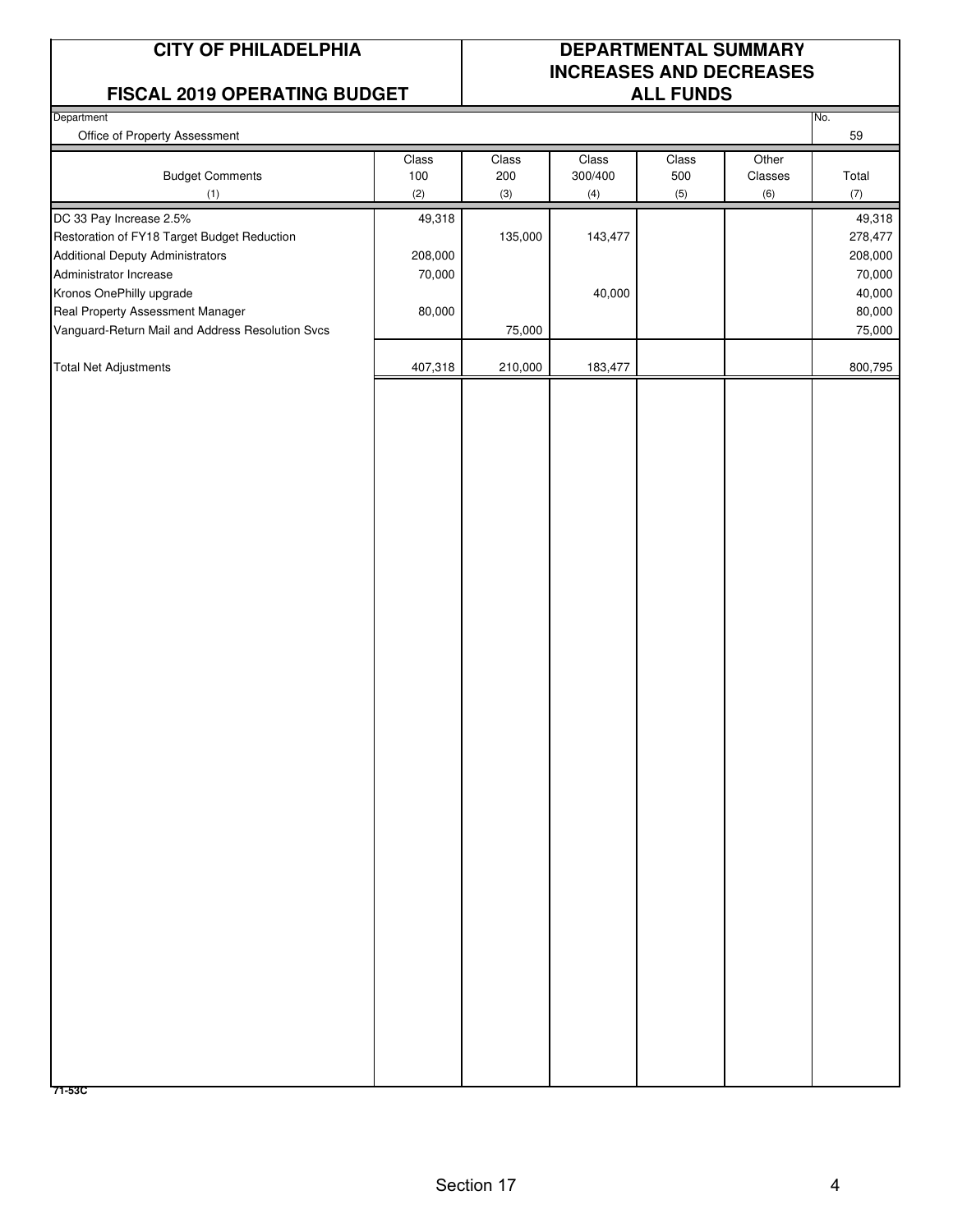#### **FISCAL 2019 OPERATING BUDGET ALL FUNDS**

## **CITY OF PHILADELPHIA DEPARTMENTAL SUMMARY INCREASES AND DECREASES**

| . <u>.</u>                                       |         |         |         |       |         |           |
|--------------------------------------------------|---------|---------|---------|-------|---------|-----------|
| Department<br>Office of Property Assessment      |         |         |         |       |         | No.<br>59 |
|                                                  |         |         | Class   |       | Other   |           |
|                                                  | Class   | Class   |         | Class |         |           |
| <b>Budget Comments</b>                           | $100\,$ | 200     | 300/400 | 500   | Classes | Total     |
| (1)                                              | (2)     | (3)     | (4)     | (5)   | (6)     | (7)       |
| DC 33 Pay Increase 2.5%                          | 49,318  |         |         |       |         | 49,318    |
| Restoration of FY18 Target Budget Reduction      |         | 135,000 | 143,477 |       |         | 278,477   |
| <b>Additional Deputy Administrators</b>          | 208,000 |         |         |       |         | 208,000   |
| Administrator Increase                           | 70,000  |         |         |       |         | 70,000    |
| Kronos OnePhilly upgrade                         |         |         | 40,000  |       |         | 40,000    |
| Real Property Assessment Manager                 | 80,000  |         |         |       |         | 80,000    |
| Vanguard-Return Mail and Address Resolution Svcs |         | 75,000  |         |       |         | 75,000    |
|                                                  |         |         |         |       |         |           |
| <b>Total Net Adjustments</b>                     | 407,318 | 210,000 | 183,477 |       |         | 800,795   |
|                                                  |         |         |         |       |         |           |
|                                                  |         |         |         |       |         |           |
| 71-53C                                           |         |         |         |       |         |           |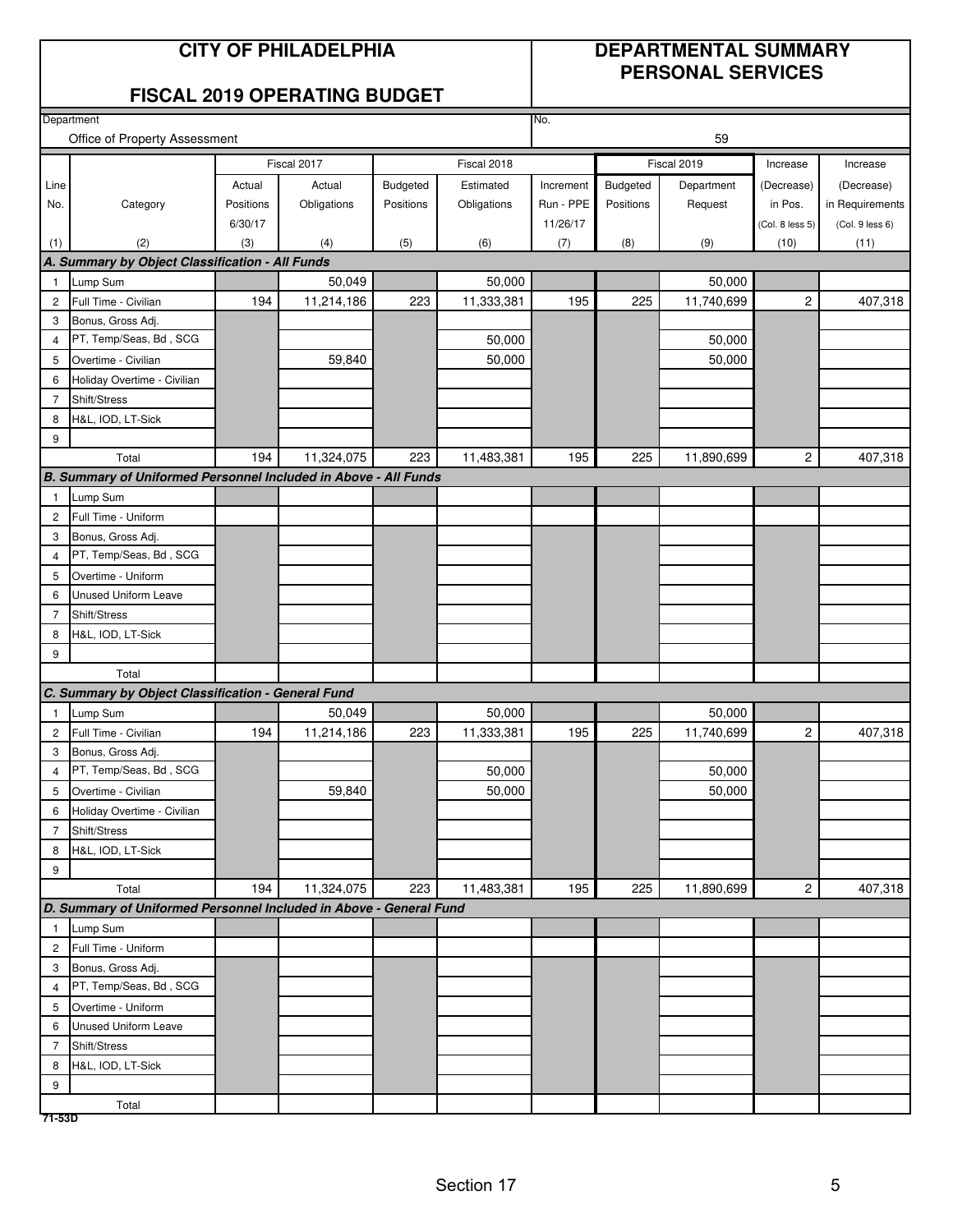#### **CITY OF PHILADELPHIA DEPARTMENTAL SUMMARY PERSONAL SERVICES**

#### **FISCAL 2019 OPERATING BUDGET**

|                | Department                                                         |           |             |           |             | No.       |           |                  |                 |                 |
|----------------|--------------------------------------------------------------------|-----------|-------------|-----------|-------------|-----------|-----------|------------------|-----------------|-----------------|
|                | Office of Property Assessment                                      |           |             |           |             |           |           | 59               |                 |                 |
|                |                                                                    |           | Fiscal 2017 |           | Fiscal 2018 |           |           | Fiscal 2019      | Increase        | Increase        |
| Line           |                                                                    | Actual    | Actual      | Budgeted  | Estimated   | Increment | Budgeted  | Department       | (Decrease)      | (Decrease)      |
| No.            | Category                                                           | Positions | Obligations | Positions | Obligations | Run - PPE | Positions | Request          | in Pos.         | in Requirements |
|                |                                                                    | 6/30/17   |             |           |             | 11/26/17  |           |                  | (Col. 8 less 5) | (Col. 9 less 6) |
| (1)            | (2)                                                                | (3)       | (4)         | (5)       | (6)         | (7)       | (8)       | (9)              | (10)            | (11)            |
|                | A. Summary by Object Classification - All Funds                    |           |             |           |             |           |           |                  |                 |                 |
| $\overline{1}$ | Lump Sum                                                           |           | 50,049      |           | 50,000      |           |           | 50,000           |                 |                 |
| $\overline{2}$ | Full Time - Civilian                                               | 194       | 11,214,186  | 223       | 11,333,381  | 195       | 225       | 11,740,699       | 2               | 407,318         |
| 3              | Bonus, Gross Adj.                                                  |           |             |           |             |           |           |                  |                 |                 |
| $\overline{4}$ | PT, Temp/Seas, Bd, SCG                                             |           |             |           | 50,000      |           |           | 50,000           |                 |                 |
| 5              | Overtime - Civilian                                                |           | 59,840      |           | 50,000      |           |           | 50,000           |                 |                 |
| 6              | Holiday Overtime - Civilian                                        |           |             |           |             |           |           |                  |                 |                 |
| $\overline{7}$ | Shift/Stress                                                       |           |             |           |             |           |           |                  |                 |                 |
| 8              | H&L, IOD, LT-Sick                                                  |           |             |           |             |           |           |                  |                 |                 |
| 9              |                                                                    |           |             |           |             |           |           |                  |                 |                 |
|                | Total                                                              | 194       | 11,324,075  | 223       | 11,483,381  | 195       | 225       | 11,890,699       | $\sqrt{2}$      | 407,318         |
|                | B. Summary of Uniformed Personnel Included in Above - All Funds    |           |             |           |             |           |           |                  |                 |                 |
| $\overline{1}$ | Lump Sum                                                           |           |             |           |             |           |           |                  |                 |                 |
| $\overline{c}$ | Full Time - Uniform                                                |           |             |           |             |           |           |                  |                 |                 |
| 3              | Bonus, Gross Adj.                                                  |           |             |           |             |           |           |                  |                 |                 |
| $\overline{4}$ | PT, Temp/Seas, Bd, SCG                                             |           |             |           |             |           |           |                  |                 |                 |
| 5              | Overtime - Uniform                                                 |           |             |           |             |           |           |                  |                 |                 |
| 6              | Unused Uniform Leave                                               |           |             |           |             |           |           |                  |                 |                 |
| $\overline{7}$ | Shift/Stress                                                       |           |             |           |             |           |           |                  |                 |                 |
| 8              | H&L, IOD, LT-Sick                                                  |           |             |           |             |           |           |                  |                 |                 |
| 9              |                                                                    |           |             |           |             |           |           |                  |                 |                 |
|                | Total                                                              |           |             |           |             |           |           |                  |                 |                 |
|                | C. Summary by Object Classification - General Fund                 |           |             |           |             |           |           |                  |                 |                 |
| $\overline{1}$ | Lump Sum                                                           |           | 50,049      |           | 50,000      |           |           | 50,000           |                 |                 |
| $\overline{c}$ | Full Time - Civilian                                               | 194       | 11,214,186  | 223       | 11,333,381  | 195       | 225       | 11,740,699       | $\mathbf{2}$    | 407,318         |
| 3              | Bonus, Gross Adj.<br>PT, Temp/Seas, Bd, SCG                        |           |             |           | 50,000      |           |           |                  |                 |                 |
| $\overline{4}$ |                                                                    |           | 59,840      |           | 50,000      |           |           | 50,000<br>50,000 |                 |                 |
| 5<br>6         | Overtime - Civilian<br>Holiday Overtime - Civilian                 |           |             |           |             |           |           |                  |                 |                 |
| $\overline{7}$ | Shift/Stress                                                       |           |             |           |             |           |           |                  |                 |                 |
| 8              | H&L, IOD, LT-Sick                                                  |           |             |           |             |           |           |                  |                 |                 |
| 9              |                                                                    |           |             |           |             |           |           |                  |                 |                 |
|                | Total                                                              | 194       | 11,324,075  | 223       | 11,483,381  | 195       | 225       | 11,890,699       | $\mathbf{2}$    | 407,318         |
|                | D. Summary of Uniformed Personnel Included in Above - General Fund |           |             |           |             |           |           |                  |                 |                 |
| $\overline{1}$ | Lump Sum                                                           |           |             |           |             |           |           |                  |                 |                 |
| $\overline{c}$ | Full Time - Uniform                                                |           |             |           |             |           |           |                  |                 |                 |
| 3              | Bonus, Gross Adj.                                                  |           |             |           |             |           |           |                  |                 |                 |
| $\overline{4}$ | PT, Temp/Seas, Bd, SCG                                             |           |             |           |             |           |           |                  |                 |                 |
| 5              | Overtime - Uniform                                                 |           |             |           |             |           |           |                  |                 |                 |
| 6              | <b>Unused Uniform Leave</b>                                        |           |             |           |             |           |           |                  |                 |                 |
| $\overline{7}$ | Shift/Stress                                                       |           |             |           |             |           |           |                  |                 |                 |
| 8              | H&L, IOD, LT-Sick                                                  |           |             |           |             |           |           |                  |                 |                 |
| 9              |                                                                    |           |             |           |             |           |           |                  |                 |                 |
|                | Total                                                              |           |             |           |             |           |           |                  |                 |                 |
| 71-53D         |                                                                    |           |             |           |             |           |           |                  |                 |                 |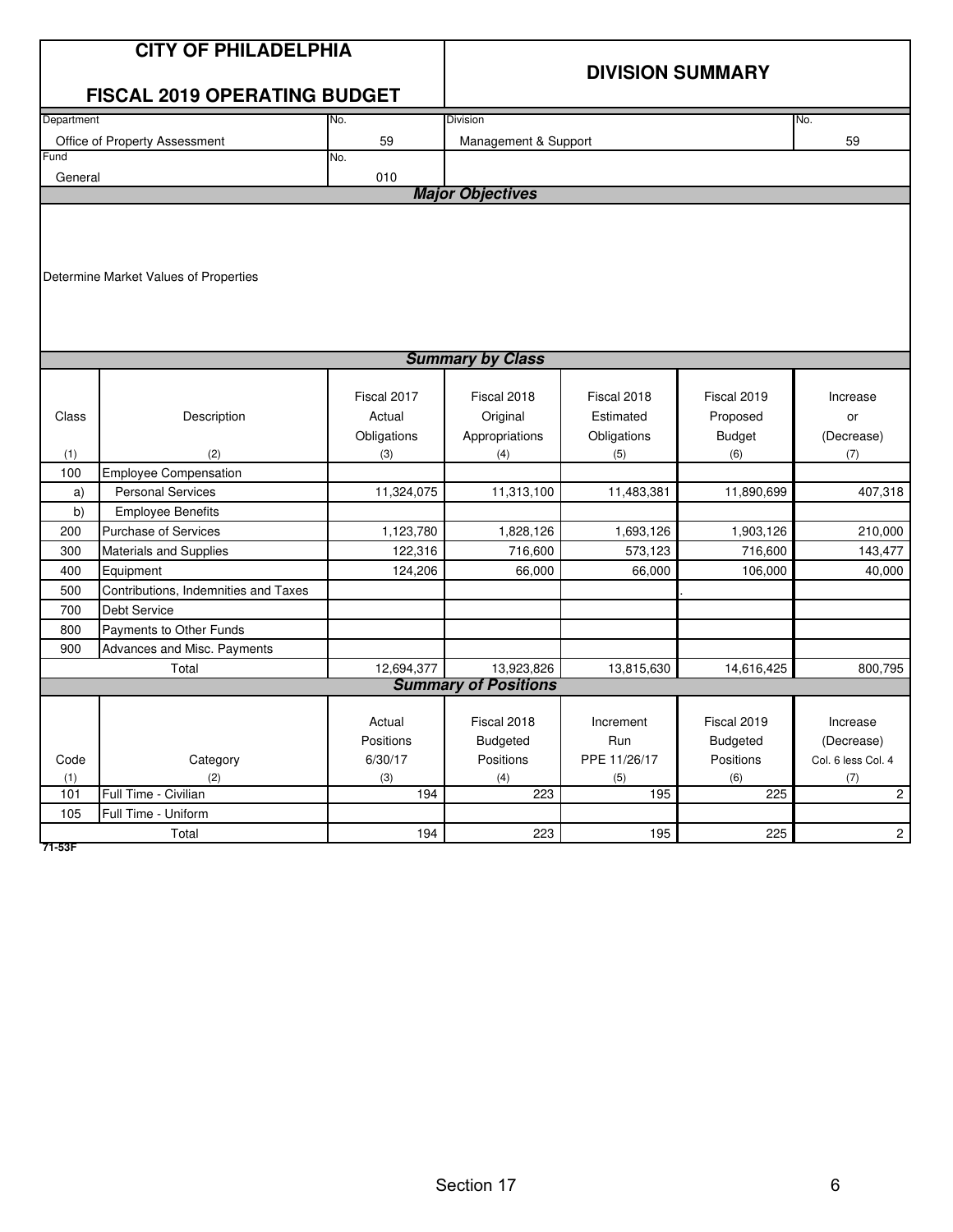|                                                                           | <b>CITY OF PHILADELPHIA</b><br><b>FISCAL 2019 OPERATING BUDGET</b>                                                                                                                                                                                                  |                                                                                              | <b>DIVISION SUMMARY</b>                                                                          |                                                                                                |                                                                                                  |                                                                                |  |  |  |  |  |  |
|---------------------------------------------------------------------------|---------------------------------------------------------------------------------------------------------------------------------------------------------------------------------------------------------------------------------------------------------------------|----------------------------------------------------------------------------------------------|--------------------------------------------------------------------------------------------------|------------------------------------------------------------------------------------------------|--------------------------------------------------------------------------------------------------|--------------------------------------------------------------------------------|--|--|--|--|--|--|
| Department                                                                |                                                                                                                                                                                                                                                                     | No.                                                                                          | <b>Division</b>                                                                                  |                                                                                                |                                                                                                  | No.                                                                            |  |  |  |  |  |  |
|                                                                           | Office of Property Assessment                                                                                                                                                                                                                                       | 59                                                                                           | 59<br>Management & Support                                                                       |                                                                                                |                                                                                                  |                                                                                |  |  |  |  |  |  |
| Fund                                                                      |                                                                                                                                                                                                                                                                     | No.                                                                                          |                                                                                                  |                                                                                                |                                                                                                  |                                                                                |  |  |  |  |  |  |
| General                                                                   |                                                                                                                                                                                                                                                                     | 010                                                                                          |                                                                                                  |                                                                                                |                                                                                                  |                                                                                |  |  |  |  |  |  |
|                                                                           |                                                                                                                                                                                                                                                                     |                                                                                              | <b>Major Objectives</b>                                                                          |                                                                                                |                                                                                                  |                                                                                |  |  |  |  |  |  |
|                                                                           | Determine Market Values of Properties                                                                                                                                                                                                                               |                                                                                              |                                                                                                  |                                                                                                |                                                                                                  |                                                                                |  |  |  |  |  |  |
|                                                                           |                                                                                                                                                                                                                                                                     |                                                                                              | <b>Summary by Class</b>                                                                          |                                                                                                |                                                                                                  |                                                                                |  |  |  |  |  |  |
| Class<br>(1)<br>100<br>a)<br>b)<br>200<br>300<br>400<br>500<br>700<br>800 | Description<br>(2)<br><b>Employee Compensation</b><br><b>Personal Services</b><br><b>Employee Benefits</b><br><b>Purchase of Services</b><br>Materials and Supplies<br>Equipment<br>Contributions, Indemnities and Taxes<br>Debt Service<br>Payments to Other Funds | Fiscal 2017<br>Actual<br>Obligations<br>(3)<br>11,324,075<br>1,123,780<br>122,316<br>124,206 | Fiscal 2018<br>Original<br>Appropriations<br>(4)<br>11,313,100<br>1,828,126<br>716,600<br>66,000 | Fiscal 2018<br>Estimated<br>Obligations<br>(5)<br>11,483,381<br>1,693,126<br>573,123<br>66,000 | Fiscal 2019<br>Proposed<br><b>Budget</b><br>(6)<br>11,890,699<br>1,903,126<br>716,600<br>106,000 | Increase<br>or<br>(Decrease)<br>(7)<br>407,318<br>210,000<br>143,477<br>40,000 |  |  |  |  |  |  |
| 900                                                                       | Advances and Misc. Payments                                                                                                                                                                                                                                         |                                                                                              |                                                                                                  |                                                                                                |                                                                                                  |                                                                                |  |  |  |  |  |  |
|                                                                           | Total                                                                                                                                                                                                                                                               | 12,694,377                                                                                   | 13,923,826                                                                                       | 13,815,630                                                                                     | 14,616,425                                                                                       | 800,795                                                                        |  |  |  |  |  |  |
|                                                                           |                                                                                                                                                                                                                                                                     |                                                                                              | <b>Summary of Positions</b>                                                                      |                                                                                                |                                                                                                  |                                                                                |  |  |  |  |  |  |
| Code<br>(1)<br>101                                                        | Category<br>(2)<br>Full Time - Civilian                                                                                                                                                                                                                             | Actual<br>Positions<br>6/30/17<br>(3)<br>194                                                 | Fiscal 2018<br><b>Budgeted</b><br>Positions<br>(4)<br>223                                        | Increment<br>Run<br>PPE 11/26/17<br>(5)<br>195                                                 | Fiscal 2019<br><b>Budgeted</b><br>Positions<br>(6)<br>225                                        | Increase<br>(Decrease)<br>Col. 6 less Col. 4<br>(7)<br>$\mathbf{2}^{\prime}$   |  |  |  |  |  |  |
| 105                                                                       | Full Time - Uniform                                                                                                                                                                                                                                                 |                                                                                              |                                                                                                  |                                                                                                |                                                                                                  |                                                                                |  |  |  |  |  |  |
|                                                                           | Total                                                                                                                                                                                                                                                               | 194                                                                                          | 223                                                                                              | 195                                                                                            | 225                                                                                              | $\overline{c}$                                                                 |  |  |  |  |  |  |

**71-53F**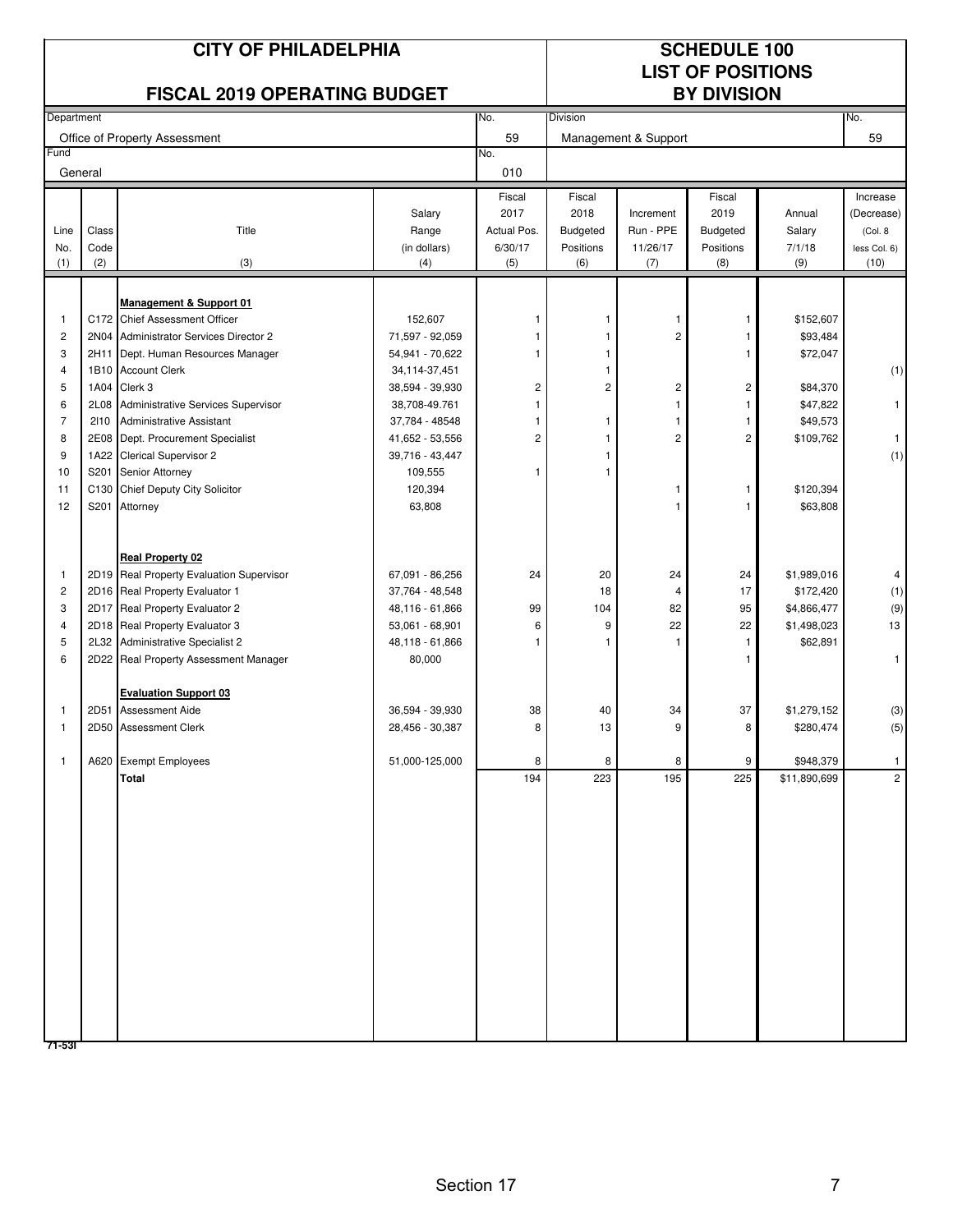|                                                              |               | <b>CITY OF PHILADELPHIA</b><br><b>FISCAL 2019 OPERATING BUDGET</b>                                                                                                                                                                                                                                                                                                        |                                                                                                                                                               |                                           |                                                   |                                                   | <b>SCHEDULE 100</b><br><b>LIST OF POSITIONS</b><br><b>BY DIVISION</b> |                                                                                                                             |                                                                            |
|--------------------------------------------------------------|---------------|---------------------------------------------------------------------------------------------------------------------------------------------------------------------------------------------------------------------------------------------------------------------------------------------------------------------------------------------------------------------------|---------------------------------------------------------------------------------------------------------------------------------------------------------------|-------------------------------------------|---------------------------------------------------|---------------------------------------------------|-----------------------------------------------------------------------|-----------------------------------------------------------------------------------------------------------------------------|----------------------------------------------------------------------------|
| Department                                                   |               |                                                                                                                                                                                                                                                                                                                                                                           |                                                                                                                                                               | No.                                       | Division                                          |                                                   |                                                                       |                                                                                                                             | No.                                                                        |
|                                                              |               | Office of Property Assessment                                                                                                                                                                                                                                                                                                                                             |                                                                                                                                                               | 59                                        |                                                   | Management & Support                              |                                                                       |                                                                                                                             | 59                                                                         |
| Fund                                                         |               |                                                                                                                                                                                                                                                                                                                                                                           |                                                                                                                                                               | No.                                       |                                                   |                                                   |                                                                       |                                                                                                                             |                                                                            |
|                                                              | General       |                                                                                                                                                                                                                                                                                                                                                                           |                                                                                                                                                               | 010                                       |                                                   |                                                   |                                                                       |                                                                                                                             |                                                                            |
|                                                              |               |                                                                                                                                                                                                                                                                                                                                                                           |                                                                                                                                                               | Fiscal                                    | Fiscal                                            |                                                   | Fiscal                                                                |                                                                                                                             | Increase                                                                   |
|                                                              |               |                                                                                                                                                                                                                                                                                                                                                                           | Salary                                                                                                                                                        | 2017                                      | 2018                                              | Increment                                         | 2019                                                                  | Annual                                                                                                                      | (Decrease)                                                                 |
| Line<br>No.                                                  | Class<br>Code | Title                                                                                                                                                                                                                                                                                                                                                                     | Range<br>(in dollars)                                                                                                                                         | Actual Pos.<br>6/30/17                    | <b>Budgeted</b><br>Positions                      | Run - PPE<br>11/26/17                             | <b>Budgeted</b><br>Positions                                          | Salary<br>7/1/18                                                                                                            | (Col. 8<br>less Col. 6)                                                    |
| (1)                                                          | (2)           | (3)                                                                                                                                                                                                                                                                                                                                                                       | (4)                                                                                                                                                           | (5)                                       | (6)                                               | (7)                                               | (8)                                                                   | (9)                                                                                                                         | (10)                                                                       |
|                                                              |               |                                                                                                                                                                                                                                                                                                                                                                           |                                                                                                                                                               |                                           |                                                   |                                                   |                                                                       |                                                                                                                             |                                                                            |
|                                                              |               | <b>Management &amp; Support 01</b>                                                                                                                                                                                                                                                                                                                                        |                                                                                                                                                               |                                           |                                                   |                                                   |                                                                       |                                                                                                                             |                                                                            |
| 1                                                            |               | C172 Chief Assessment Officer                                                                                                                                                                                                                                                                                                                                             | 152,607                                                                                                                                                       |                                           | 1                                                 | 1                                                 | 1                                                                     | \$152,607                                                                                                                   |                                                                            |
| $\overline{\mathbf{c}}$                                      |               | 2N04 Administrator Services Director 2                                                                                                                                                                                                                                                                                                                                    | 71,597 - 92,059                                                                                                                                               |                                           |                                                   | $\overline{c}$                                    |                                                                       | \$93,484                                                                                                                    |                                                                            |
| 3                                                            | 2H11          | Dept. Human Resources Manager                                                                                                                                                                                                                                                                                                                                             | 54,941 - 70,622                                                                                                                                               |                                           |                                                   |                                                   |                                                                       | \$72,047                                                                                                                    |                                                                            |
| $\overline{4}$                                               |               | 1B10 Account Clerk                                                                                                                                                                                                                                                                                                                                                        | 34, 114-37, 451                                                                                                                                               |                                           |                                                   |                                                   |                                                                       |                                                                                                                             | (1)                                                                        |
| 5                                                            | 1A04          | Clerk 3                                                                                                                                                                                                                                                                                                                                                                   | 38,594 - 39,930                                                                                                                                               | 2                                         | 2                                                 | 2                                                 | 2                                                                     | \$84,370                                                                                                                    |                                                                            |
| 6<br>$\overline{7}$                                          | 2L08          | Administrative Services Supervisor                                                                                                                                                                                                                                                                                                                                        | 38,708-49.761                                                                                                                                                 |                                           |                                                   | 1                                                 |                                                                       | \$47,822                                                                                                                    | 1                                                                          |
| 8                                                            | 2110          | <b>Administrative Assistant</b><br>2E08 Dept. Procurement Specialist                                                                                                                                                                                                                                                                                                      | 37,784 - 48548<br>41,652 - 53,556                                                                                                                             | 2                                         | 1                                                 | $\overline{c}$                                    | 2                                                                     | \$49,573<br>\$109,762                                                                                                       | $\mathbf{1}$                                                               |
| 9                                                            |               | 1A22 Clerical Supervisor 2                                                                                                                                                                                                                                                                                                                                                | 39,716 - 43,447                                                                                                                                               |                                           |                                                   |                                                   |                                                                       |                                                                                                                             | (1)                                                                        |
| 10                                                           | S201          | Senior Attorney                                                                                                                                                                                                                                                                                                                                                           | 109,555                                                                                                                                                       |                                           |                                                   |                                                   |                                                                       |                                                                                                                             |                                                                            |
| 11                                                           | C130          | Chief Deputy City Solicitor                                                                                                                                                                                                                                                                                                                                               | 120,394                                                                                                                                                       |                                           |                                                   |                                                   | 1                                                                     | \$120,394                                                                                                                   |                                                                            |
| 12                                                           | S201          | Attorney                                                                                                                                                                                                                                                                                                                                                                  | 63,808                                                                                                                                                        |                                           |                                                   | 1                                                 |                                                                       | \$63,808                                                                                                                    |                                                                            |
| 1<br>$\overline{c}$<br>3<br>4<br>5<br>6<br>1<br>$\mathbf{1}$ |               | <b>Real Property 02</b><br>2D19 Real Property Evaluation Supervisor<br>2D16 Real Property Evaluator 1<br>2D17 Real Property Evaluator 2<br>2D18 Real Property Evaluator 3<br>2L32 Administrative Specialist 2<br>2D22 Real Property Assessment Manager<br><b>Evaluation Support 03</b><br>2D51 Assessment Aide<br>2D50 Assessment Clerk<br>A620 Exempt Employees<br>Total | 67,091 - 86,256<br>37,764 - 48,548<br>48,116 - 61,866<br>53,061 - 68,901<br>48,118 - 61,866<br>80,000<br>36,594 - 39,930<br>28,456 - 30,387<br>51,000-125,000 | 24<br>99<br>6<br>1<br>38<br>8<br>8<br>194 | 20<br>18<br>104<br>9<br>1<br>40<br>13<br>8<br>223 | 24<br>4<br>82<br>22<br>34<br>$\Omega$<br>8<br>195 | 24<br>17<br>95<br>22<br>1<br>37<br>9<br>225                           | \$1,989,016<br>\$172,420<br>\$4,866,477<br>\$1,498,023<br>\$62,891<br>\$1,279,152<br>\$280,474<br>\$948,379<br>\$11,890,699 | 4<br>(1)<br>(9)<br>13<br>1<br>(3)<br>(5)<br>$\mathbf{1}$<br>$\overline{2}$ |
|                                                              |               |                                                                                                                                                                                                                                                                                                                                                                           |                                                                                                                                                               |                                           |                                                   |                                                   |                                                                       |                                                                                                                             |                                                                            |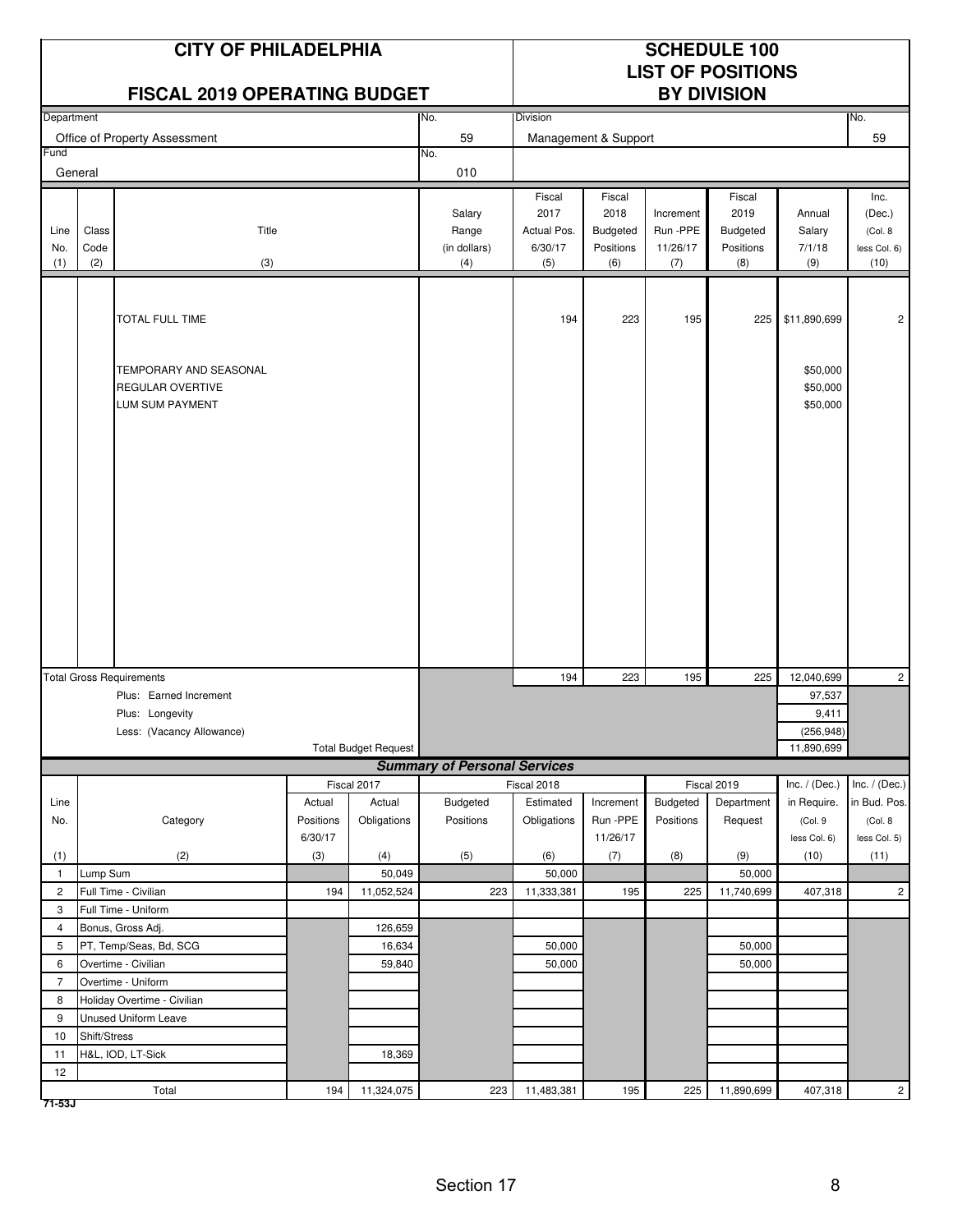|                    |                      | <b>CITY OF PHILADELPHIA</b><br><b>FISCAL 2019 OPERATING BUDGET</b>                                        |                                |                             |                                        |                                                 |                                                |                                          | <b>SCHEDULE 100</b><br><b>LIST OF POSITIONS</b><br><b>BY DIVISION</b> |                                                  |                                                    |
|--------------------|----------------------|-----------------------------------------------------------------------------------------------------------|--------------------------------|-----------------------------|----------------------------------------|-------------------------------------------------|------------------------------------------------|------------------------------------------|-----------------------------------------------------------------------|--------------------------------------------------|----------------------------------------------------|
| Department         |                      |                                                                                                           |                                |                             | No.                                    | Division                                        |                                                |                                          |                                                                       |                                                  | No.                                                |
|                    |                      | Office of Property Assessment                                                                             |                                |                             | 59                                     | Management & Support                            |                                                |                                          |                                                                       | 59                                               |                                                    |
| Fund               |                      |                                                                                                           |                                |                             | No.                                    |                                                 |                                                |                                          |                                                                       |                                                  |                                                    |
|                    | General              |                                                                                                           |                                |                             | 010                                    |                                                 |                                                |                                          |                                                                       |                                                  |                                                    |
| Line<br>No.<br>(1) | Class<br>Code<br>(2) | Title<br>(3)                                                                                              |                                |                             | Salary<br>Range<br>(in dollars)<br>(4) | Fiscal<br>2017<br>Actual Pos.<br>6/30/17<br>(5) | Fiscal<br>2018<br>Budgeted<br>Positions<br>(6) | Increment<br>Run -PPE<br>11/26/17<br>(7) | Fiscal<br>2019<br>Budgeted<br>Positions<br>(8)                        | Annual<br>Salary<br>7/1/18<br>(9)                | Inc.<br>(Dec.)<br>(Col. 8)<br>less Col. 6)<br>(10) |
|                    |                      | <b>TOTAL FULL TIME</b><br>TEMPORARY AND SEASONAL<br><b>REGULAR OVERTIVE</b><br>LUM SUM PAYMENT            |                                |                             |                                        | 194                                             | 223                                            | 195                                      | 225                                                                   | \$11,890,699<br>\$50,000<br>\$50,000<br>\$50,000 | $\overline{c}$                                     |
|                    |                      |                                                                                                           |                                |                             |                                        |                                                 |                                                |                                          |                                                                       |                                                  |                                                    |
|                    |                      |                                                                                                           |                                |                             |                                        | 194                                             | 223                                            | 195                                      | 225                                                                   | 12,040,699                                       | $\overline{c}$                                     |
|                    |                      | <b>Total Gross Requirements</b><br>Plus: Earned Increment<br>Plus: Longevity<br>Less: (Vacancy Allowance) |                                | <b>Total Budget Request</b> |                                        |                                                 |                                                |                                          |                                                                       | 97,537<br>9,411<br>(256, 948)<br>11,890,699      |                                                    |
|                    |                      |                                                                                                           |                                |                             | <b>Summary of Personal Services</b>    |                                                 |                                                |                                          |                                                                       |                                                  |                                                    |
|                    |                      |                                                                                                           |                                | Fiscal 2017                 |                                        | Fiscal 2018                                     |                                                |                                          | Fiscal 2019                                                           | Inc. $/$ (Dec.)                                  | Inc. $/$ (Dec.)                                    |
| Line<br>No.        |                      | Category                                                                                                  | Actual<br>Positions<br>6/30/17 | Actual<br>Obligations       | Budgeted<br>Positions                  | Estimated<br>Obligations                        | Increment<br>Run -PPE<br>11/26/17              | Budgeted<br>Positions                    | Department<br>Request                                                 | in Require.<br>(Col.9<br>less Col. 6)            | in Bud. Pos.<br>(Col. 8<br>less Col. 5)            |
| (1)                |                      | (2)                                                                                                       | (3)                            | (4)                         | (5)                                    | (6)                                             | (7)                                            | (8)                                      | (9)                                                                   | (10)                                             | (11)                                               |
| $\mathbf{1}$       | Lump Sum             |                                                                                                           |                                | 50,049                      |                                        | 50,000                                          |                                                |                                          | 50,000                                                                |                                                  |                                                    |
| $\overline{c}$     |                      | Full Time - Civilian                                                                                      | 194                            | 11,052,524                  | 223                                    | 11,333,381                                      | 195                                            | 225                                      | 11,740,699                                                            | 407,318                                          | $\overline{2}$                                     |
| 3                  |                      | Full Time - Uniform                                                                                       |                                |                             |                                        |                                                 |                                                |                                          |                                                                       |                                                  |                                                    |
| $\overline{4}$     |                      | Bonus, Gross Adj.                                                                                         |                                | 126,659                     |                                        |                                                 |                                                |                                          |                                                                       |                                                  |                                                    |
| 5                  |                      | PT, Temp/Seas, Bd, SCG                                                                                    |                                | 16,634                      |                                        | 50,000                                          |                                                |                                          | 50,000                                                                |                                                  |                                                    |
| 6                  |                      | Overtime - Civilian                                                                                       |                                | 59,840                      |                                        | 50,000                                          |                                                |                                          | 50,000                                                                |                                                  |                                                    |
| $\overline{7}$     |                      | Overtime - Uniform                                                                                        |                                |                             |                                        |                                                 |                                                |                                          |                                                                       |                                                  |                                                    |
| 8                  |                      | Holiday Overtime - Civilian                                                                               |                                |                             |                                        |                                                 |                                                |                                          |                                                                       |                                                  |                                                    |
| 9                  |                      | <b>Unused Uniform Leave</b>                                                                               |                                |                             |                                        |                                                 |                                                |                                          |                                                                       |                                                  |                                                    |
| 10                 | Shift/Stress         |                                                                                                           |                                |                             |                                        |                                                 |                                                |                                          |                                                                       |                                                  |                                                    |
| 11                 |                      | H&L, IOD, LT-Sick                                                                                         |                                | 18,369                      |                                        |                                                 |                                                |                                          |                                                                       |                                                  |                                                    |
| 12                 |                      |                                                                                                           |                                |                             |                                        |                                                 |                                                |                                          |                                                                       |                                                  |                                                    |
| 71-53J             |                      | Total                                                                                                     | 194                            | 11,324,075                  | 223                                    | 11,483,381                                      | 195                                            | 225                                      | 11,890,699                                                            | 407,318                                          | $\overline{c}$                                     |

Section 17 8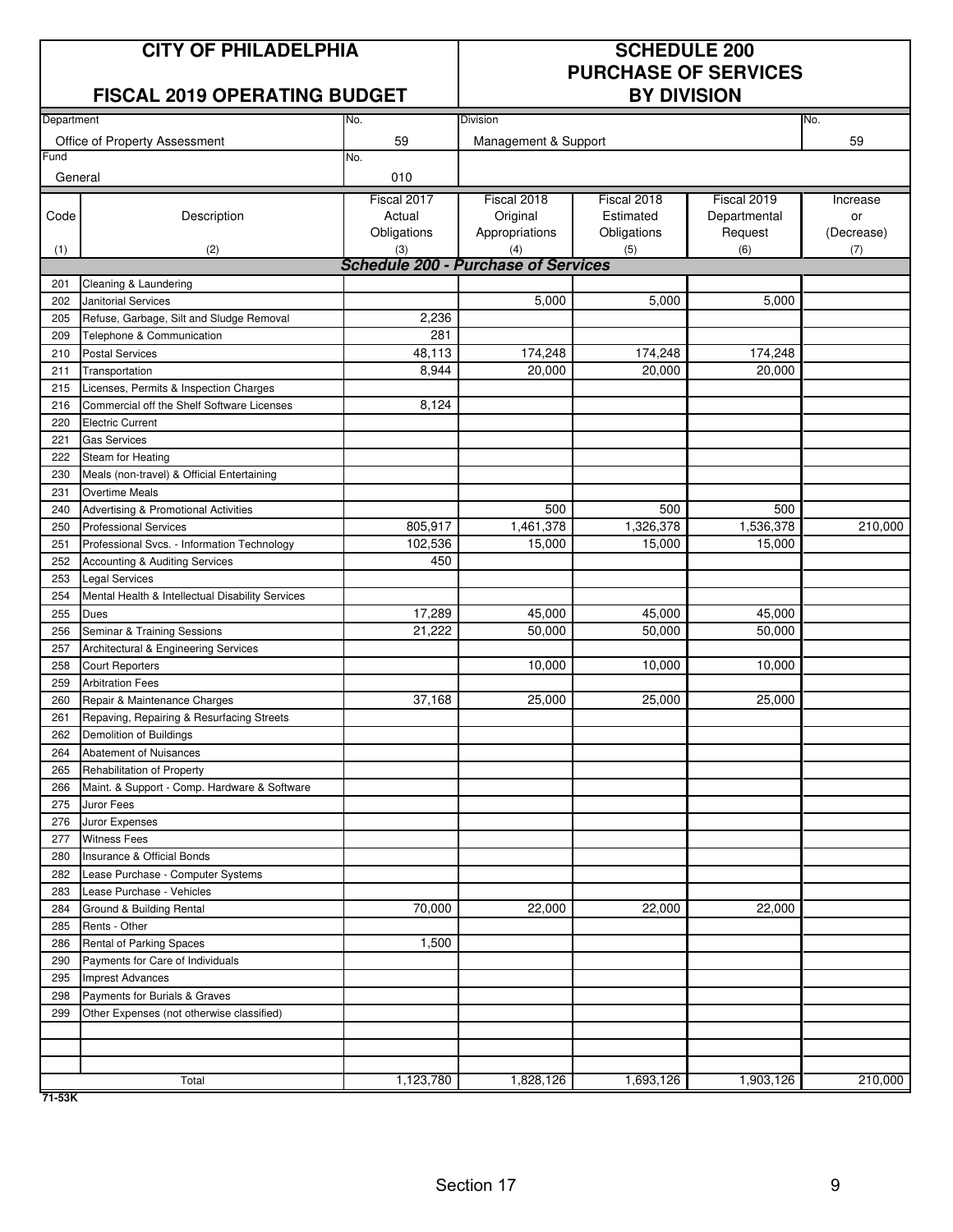## **CITY OF PHILADELPHIA SCHEDULE 200**

#### **FISCAL 2019 OPERATING BUDGET**

# **PURCHASE OF SERVICES**

| Department |                                                  | No.                                        | <b>Division</b>      | No.         |              |            |
|------------|--------------------------------------------------|--------------------------------------------|----------------------|-------------|--------------|------------|
|            |                                                  |                                            |                      |             |              |            |
|            | Office of Property Assessment                    | 59                                         | Management & Support |             |              | 59         |
| Fund       |                                                  | No.                                        |                      |             |              |            |
| General    |                                                  | 010                                        |                      |             |              |            |
|            |                                                  | Fiscal 2017                                | Fiscal 2018          | Fiscal 2018 | Fiscal 2019  | Increase   |
| Code       | Description                                      | Actual                                     | Original             | Estimated   | Departmental | or         |
|            |                                                  | Obligations                                | Appropriations       | Obligations | Request      | (Decrease) |
| (1)        | (2)                                              | (3)                                        | (4)                  | (5)         | (6)          | (7)        |
|            |                                                  | <b>Schedule 200 - Purchase of Services</b> |                      |             |              |            |
| 201        | Cleaning & Laundering                            |                                            |                      |             |              |            |
| 202        | Janitorial Services                              |                                            | 5,000                | 5,000       | 5,000        |            |
| 205        | Refuse, Garbage, Silt and Sludge Removal         | 2,236                                      |                      |             |              |            |
| 209        | Telephone & Communication                        | 281                                        |                      |             |              |            |
| 210        | <b>Postal Services</b>                           | 48,113                                     | 174,248              | 174,248     | 174,248      |            |
| 211        | Transportation                                   | 8,944                                      | 20,000               | 20,000      | 20,000       |            |
| 215        | Licenses, Permits & Inspection Charges           |                                            |                      |             |              |            |
| 216        | Commercial off the Shelf Software Licenses       | 8,124                                      |                      |             |              |            |
| 220        | <b>Electric Current</b>                          |                                            |                      |             |              |            |
| 221        | <b>Gas Services</b>                              |                                            |                      |             |              |            |
| 222        | Steam for Heating                                |                                            |                      |             |              |            |
| 230        | Meals (non-travel) & Official Entertaining       |                                            |                      |             |              |            |
| 231        | Overtime Meals                                   |                                            |                      |             |              |            |
| 240        | Advertising & Promotional Activities             |                                            | 500                  | 500         | 500          |            |
| 250        | <b>Professional Services</b>                     | 805,917                                    | 1,461,378            | 1,326,378   | 1,536,378    | 210,000    |
| 251        | Professional Svcs. - Information Technology      | 102,536                                    | 15,000               | 15,000      | 15,000       |            |
| 252        | <b>Accounting &amp; Auditing Services</b>        | 450                                        |                      |             |              |            |
| 253        | <b>Legal Services</b>                            |                                            |                      |             |              |            |
| 254        | Mental Health & Intellectual Disability Services |                                            |                      |             |              |            |
| 255        | Dues                                             | 17,289                                     | 45,000               | 45,000      | 45,000       |            |
| 256        | Seminar & Training Sessions                      | 21,222                                     | 50,000               | 50,000      | 50,000       |            |
| 257        | Architectural & Engineering Services             |                                            |                      |             |              |            |
| 258        | Court Reporters                                  |                                            | 10,000               | 10,000      | 10,000       |            |
| 259        | <b>Arbitration Fees</b>                          |                                            |                      |             |              |            |
| 260        | Repair & Maintenance Charges                     | 37,168                                     | 25,000               | 25,000      | 25,000       |            |
| 261        | Repaving, Repairing & Resurfacing Streets        |                                            |                      |             |              |            |
| 262        | Demolition of Buildings                          |                                            |                      |             |              |            |
| 264        | Abatement of Nuisances                           |                                            |                      |             |              |            |
| 265        | Rehabilitation of Property                       |                                            |                      |             |              |            |
| 266        | Maint. & Support - Comp. Hardware & Software     |                                            |                      |             |              |            |
| 275        | Juror Fees                                       |                                            |                      |             |              |            |
| 276        | Juror Expenses                                   |                                            |                      |             |              |            |
| 277        | <b>Witness Fees</b>                              |                                            |                      |             |              |            |
| 280        | Insurance & Official Bonds                       |                                            |                      |             |              |            |
| 282        | Lease Purchase - Computer Systems                |                                            |                      |             |              |            |
| 283        | Lease Purchase - Vehicles                        |                                            |                      |             |              |            |
| 284        | Ground & Building Rental                         | 70,000                                     | 22,000               | 22,000      | 22,000       |            |
| 285        | Rents - Other                                    |                                            |                      |             |              |            |
| 286        | Rental of Parking Spaces                         | 1,500                                      |                      |             |              |            |
| 290        | Payments for Care of Individuals                 |                                            |                      |             |              |            |
| 295        | Imprest Advances                                 |                                            |                      |             |              |            |
| 298        | Payments for Burials & Graves                    |                                            |                      |             |              |            |
| 299        | Other Expenses (not otherwise classified)        |                                            |                      |             |              |            |
|            |                                                  |                                            |                      |             |              |            |
|            |                                                  |                                            |                      |             |              |            |
|            |                                                  |                                            |                      |             |              |            |
|            | Total                                            | 1,123,780                                  | 1,828,126            | 1,693,126   | 1,903,126    | 210,000    |

**71-53K**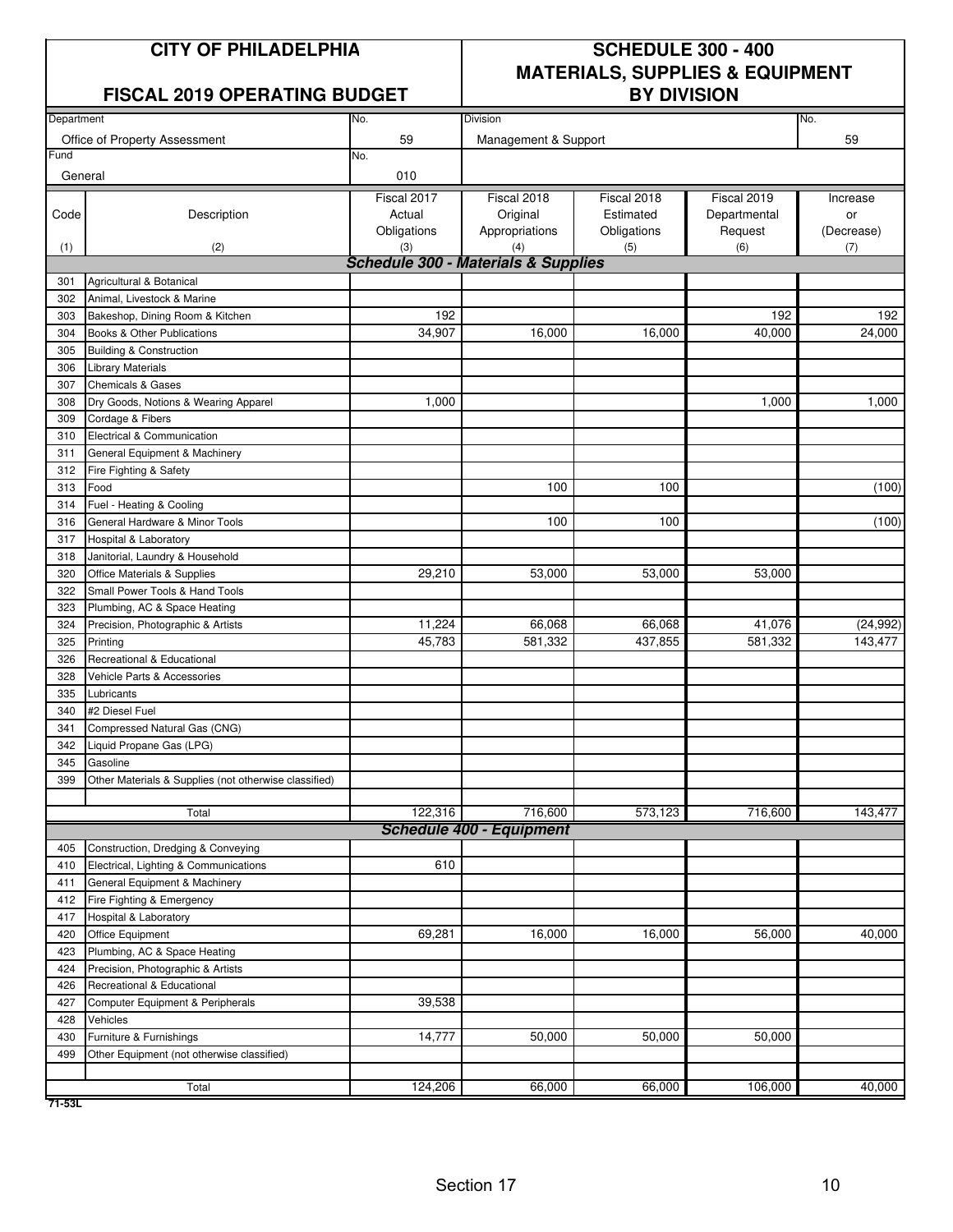#### **FISCAL 2019 OPERATING BUDGET**

## **CITY OF PHILADELPHIA SCHEDULE 300 - 400 MATERIALS, SUPPLIES & EQUIPMENT**

| Department |                                                       | No.                                            | Division                        |             |              | No.        |  |  |  |
|------------|-------------------------------------------------------|------------------------------------------------|---------------------------------|-------------|--------------|------------|--|--|--|
|            | Office of Property Assessment                         | 59                                             | Management & Support            |             |              | 59         |  |  |  |
| Fund       |                                                       | No.                                            |                                 |             |              |            |  |  |  |
| General    |                                                       | 010                                            |                                 |             |              |            |  |  |  |
|            |                                                       | Fiscal 2017                                    | Fiscal 2018                     | Fiscal 2018 | Fiscal 2019  | Increase   |  |  |  |
| Code       | Description                                           | Actual                                         | Original                        | Estimated   | Departmental | or         |  |  |  |
|            |                                                       | Obligations                                    | Appropriations                  | Obligations | Request      | (Decrease) |  |  |  |
| (1)        | (2)                                                   | (3)                                            | (4)                             | (5)         | (6)          | (7)        |  |  |  |
|            |                                                       | <b>Schedule 300 - Materials &amp; Supplies</b> |                                 |             |              |            |  |  |  |
| 301        | Agricultural & Botanical                              |                                                |                                 |             |              |            |  |  |  |
| 302        | Animal, Livestock & Marine                            |                                                |                                 |             |              |            |  |  |  |
| 303        | Bakeshop, Dining Room & Kitchen                       | 192                                            |                                 |             | 192          | 192        |  |  |  |
| 304        | Books & Other Publications                            | 34,907                                         | 16,000                          | 16,000      | 40,000       | 24,000     |  |  |  |
| 305        | <b>Building &amp; Construction</b>                    |                                                |                                 |             |              |            |  |  |  |
| 306        | <b>Library Materials</b>                              |                                                |                                 |             |              |            |  |  |  |
| 307        | <b>Chemicals &amp; Gases</b>                          |                                                |                                 |             |              |            |  |  |  |
| 308        | Dry Goods, Notions & Wearing Apparel                  | 1,000                                          |                                 |             | 1,000        | 1,000      |  |  |  |
| 309        | Cordage & Fibers                                      |                                                |                                 |             |              |            |  |  |  |
| 310        | Electrical & Communication                            |                                                |                                 |             |              |            |  |  |  |
| 311        | General Equipment & Machinery                         |                                                |                                 |             |              |            |  |  |  |
| 312        | Fire Fighting & Safety                                |                                                |                                 |             |              |            |  |  |  |
| 313        | Food                                                  |                                                | 100                             | 100         |              | (100)      |  |  |  |
| 314        | Fuel - Heating & Cooling                              |                                                |                                 |             |              |            |  |  |  |
| 316        | General Hardware & Minor Tools                        |                                                | 100                             | 100         |              | (100)      |  |  |  |
| 317        | Hospital & Laboratory                                 |                                                |                                 |             |              |            |  |  |  |
| 318        | Janitorial, Laundry & Household                       |                                                |                                 |             |              |            |  |  |  |
| 320        | Office Materials & Supplies                           | 29,210                                         | 53,000                          | 53,000      | 53,000       |            |  |  |  |
| 322        | Small Power Tools & Hand Tools                        |                                                |                                 |             |              |            |  |  |  |
| 323        | Plumbing, AC & Space Heating                          |                                                |                                 |             |              |            |  |  |  |
| 324        | Precision, Photographic & Artists                     | 11,224                                         | 66,068                          | 66,068      | 41,076       | (24, 992)  |  |  |  |
| 325        | Printing                                              | 45,783                                         | 581,332                         | 437,855     | 581,332      | 143,477    |  |  |  |
| 326        | Recreational & Educational                            |                                                |                                 |             |              |            |  |  |  |
| 328        | Vehicle Parts & Accessories                           |                                                |                                 |             |              |            |  |  |  |
| 335        | Lubricants                                            |                                                |                                 |             |              |            |  |  |  |
| 340        | #2 Diesel Fuel                                        |                                                |                                 |             |              |            |  |  |  |
| 341        | Compressed Natural Gas (CNG)                          |                                                |                                 |             |              |            |  |  |  |
| 342        | Liquid Propane Gas (LPG)                              |                                                |                                 |             |              |            |  |  |  |
| 345        | Gasoline                                              |                                                |                                 |             |              |            |  |  |  |
| 399        | Other Materials & Supplies (not otherwise classified) |                                                |                                 |             |              |            |  |  |  |
|            |                                                       |                                                |                                 |             |              |            |  |  |  |
|            | Total                                                 | 122,316                                        | 716,600                         | 573,123     | 716,600      | 143,477    |  |  |  |
|            |                                                       |                                                | <b>Schedule 400 - Equipment</b> |             |              |            |  |  |  |
| 405        | Construction, Dredging & Conveying                    |                                                |                                 |             |              |            |  |  |  |
| 410        | Electrical, Lighting & Communications                 | 610                                            |                                 |             |              |            |  |  |  |
| 411        | General Equipment & Machinery                         |                                                |                                 |             |              |            |  |  |  |
| 412        | Fire Fighting & Emergency                             |                                                |                                 |             |              |            |  |  |  |
| 417        | Hospital & Laboratory                                 |                                                |                                 |             |              |            |  |  |  |
| 420        | Office Equipment                                      | 69,281                                         | 16,000                          | 16,000      | 56,000       | 40,000     |  |  |  |
| 423        | Plumbing, AC & Space Heating                          |                                                |                                 |             |              |            |  |  |  |
| 424        | Precision, Photographic & Artists                     |                                                |                                 |             |              |            |  |  |  |
| 426        | Recreational & Educational                            |                                                |                                 |             |              |            |  |  |  |
| 427        | Computer Equipment & Peripherals                      | 39,538                                         |                                 |             |              |            |  |  |  |
| 428        | Vehicles                                              |                                                |                                 |             |              |            |  |  |  |
| 430        | Furniture & Furnishings                               | 14,777                                         | 50,000                          | 50,000      | 50,000       |            |  |  |  |
| 499        | Other Equipment (not otherwise classified)            |                                                |                                 |             |              |            |  |  |  |
|            |                                                       |                                                |                                 |             |              |            |  |  |  |
|            | Total                                                 | 124,206                                        | 66,000                          | 66,000      | 106,000      | 40,000     |  |  |  |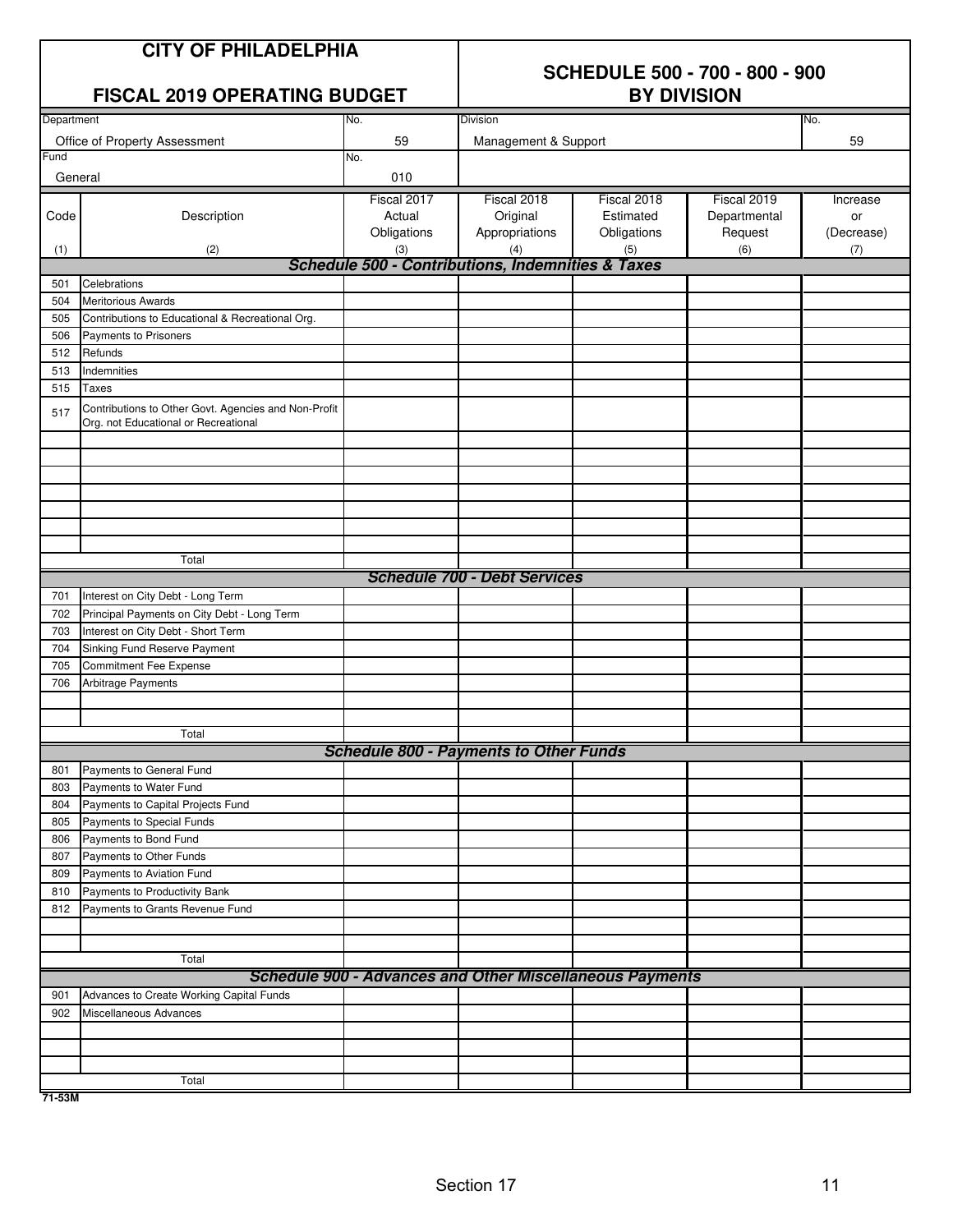|            | <b>CITY OF PHILADELPHIA</b><br><b>FISCAL 2019 OPERATING BUDGET</b>                           |                                      | <b>SCHEDULE 500 - 700 - 800 - 900</b><br><b>BY DIVISION</b>  |                                                                 |                                        |                              |  |  |
|------------|----------------------------------------------------------------------------------------------|--------------------------------------|--------------------------------------------------------------|-----------------------------------------------------------------|----------------------------------------|------------------------------|--|--|
| Department |                                                                                              | No.                                  | Division                                                     |                                                                 |                                        | No.                          |  |  |
|            | Office of Property Assessment                                                                | 59                                   | Management & Support                                         |                                                                 | 59                                     |                              |  |  |
| Fund       |                                                                                              | No.                                  |                                                              |                                                                 |                                        |                              |  |  |
| General    |                                                                                              | 010                                  |                                                              |                                                                 |                                        |                              |  |  |
| Code       | Description                                                                                  | Fiscal 2017<br>Actual<br>Obligations | Fiscal 2018<br>Original<br>Appropriations                    | Fiscal 2018<br>Estimated<br>Obligations                         | Fiscal 2019<br>Departmental<br>Request | Increase<br>or<br>(Decrease) |  |  |
| (1)        | (2)                                                                                          | (3)                                  | (4)                                                          | (5)                                                             | (6)                                    | (7)                          |  |  |
|            |                                                                                              |                                      | <b>Schedule 500 - Contributions, Indemnities &amp; Taxes</b> |                                                                 |                                        |                              |  |  |
| 501        | Celebrations                                                                                 |                                      |                                                              |                                                                 |                                        |                              |  |  |
| 504        | <b>Meritorious Awards</b>                                                                    |                                      |                                                              |                                                                 |                                        |                              |  |  |
| 505        | Contributions to Educational & Recreational Org.                                             |                                      |                                                              |                                                                 |                                        |                              |  |  |
| 506        | Payments to Prisoners                                                                        |                                      |                                                              |                                                                 |                                        |                              |  |  |
| 512        | Refunds                                                                                      |                                      |                                                              |                                                                 |                                        |                              |  |  |
| 513        | Indemnities                                                                                  |                                      |                                                              |                                                                 |                                        |                              |  |  |
| 515        | <b>Taxes</b>                                                                                 |                                      |                                                              |                                                                 |                                        |                              |  |  |
| 517        | Contributions to Other Govt. Agencies and Non-Profit<br>Org. not Educational or Recreational |                                      |                                                              |                                                                 |                                        |                              |  |  |
|            |                                                                                              |                                      |                                                              |                                                                 |                                        |                              |  |  |
|            |                                                                                              |                                      |                                                              |                                                                 |                                        |                              |  |  |
|            |                                                                                              |                                      |                                                              |                                                                 |                                        |                              |  |  |
|            | Total                                                                                        |                                      |                                                              |                                                                 |                                        |                              |  |  |
|            |                                                                                              |                                      | <b>Schedule 700 - Debt Services</b>                          |                                                                 |                                        |                              |  |  |
| 701        | Interest on City Debt - Long Term                                                            |                                      |                                                              |                                                                 |                                        |                              |  |  |
| 702        | Principal Payments on City Debt - Long Term                                                  |                                      |                                                              |                                                                 |                                        |                              |  |  |
| 703        | Interest on City Debt - Short Term                                                           |                                      |                                                              |                                                                 |                                        |                              |  |  |
| 704        | Sinking Fund Reserve Payment                                                                 |                                      |                                                              |                                                                 |                                        |                              |  |  |
| 705        | Commitment Fee Expense                                                                       |                                      |                                                              |                                                                 |                                        |                              |  |  |
| 706        | Arbitrage Payments                                                                           |                                      |                                                              |                                                                 |                                        |                              |  |  |
|            |                                                                                              |                                      |                                                              |                                                                 |                                        |                              |  |  |
|            | Total                                                                                        |                                      |                                                              |                                                                 |                                        |                              |  |  |
|            |                                                                                              |                                      | <b>Schedule 800 - Payments to Other Funds</b>                |                                                                 |                                        |                              |  |  |
| 801        | Payments to General Fund                                                                     |                                      |                                                              |                                                                 |                                        |                              |  |  |
| 803        | Payments to Water Fund                                                                       |                                      |                                                              |                                                                 |                                        |                              |  |  |
| 804        | Payments to Capital Projects Fund                                                            |                                      |                                                              |                                                                 |                                        |                              |  |  |
| 805        | Payments to Special Funds                                                                    |                                      |                                                              |                                                                 |                                        |                              |  |  |
| 806        | Payments to Bond Fund                                                                        |                                      |                                                              |                                                                 |                                        |                              |  |  |
| 807        | Payments to Other Funds                                                                      |                                      |                                                              |                                                                 |                                        |                              |  |  |
| 809        | Payments to Aviation Fund                                                                    |                                      |                                                              |                                                                 |                                        |                              |  |  |
| 810        | Payments to Productivity Bank                                                                |                                      |                                                              |                                                                 |                                        |                              |  |  |
| 812        | Payments to Grants Revenue Fund                                                              |                                      |                                                              |                                                                 |                                        |                              |  |  |
|            |                                                                                              |                                      |                                                              |                                                                 |                                        |                              |  |  |
|            |                                                                                              |                                      |                                                              |                                                                 |                                        |                              |  |  |
|            | Total                                                                                        |                                      |                                                              |                                                                 |                                        |                              |  |  |
|            |                                                                                              |                                      |                                                              | <b>Schedule 900 - Advances and Other Miscellaneous Payments</b> |                                        |                              |  |  |
| 901        | Advances to Create Working Capital Funds                                                     |                                      |                                                              |                                                                 |                                        |                              |  |  |
| 902        | Miscellaneous Advances                                                                       |                                      |                                                              |                                                                 |                                        |                              |  |  |
|            |                                                                                              |                                      |                                                              |                                                                 |                                        |                              |  |  |
|            |                                                                                              |                                      |                                                              |                                                                 |                                        |                              |  |  |
|            | Total                                                                                        |                                      |                                                              |                                                                 |                                        |                              |  |  |

**71-53M**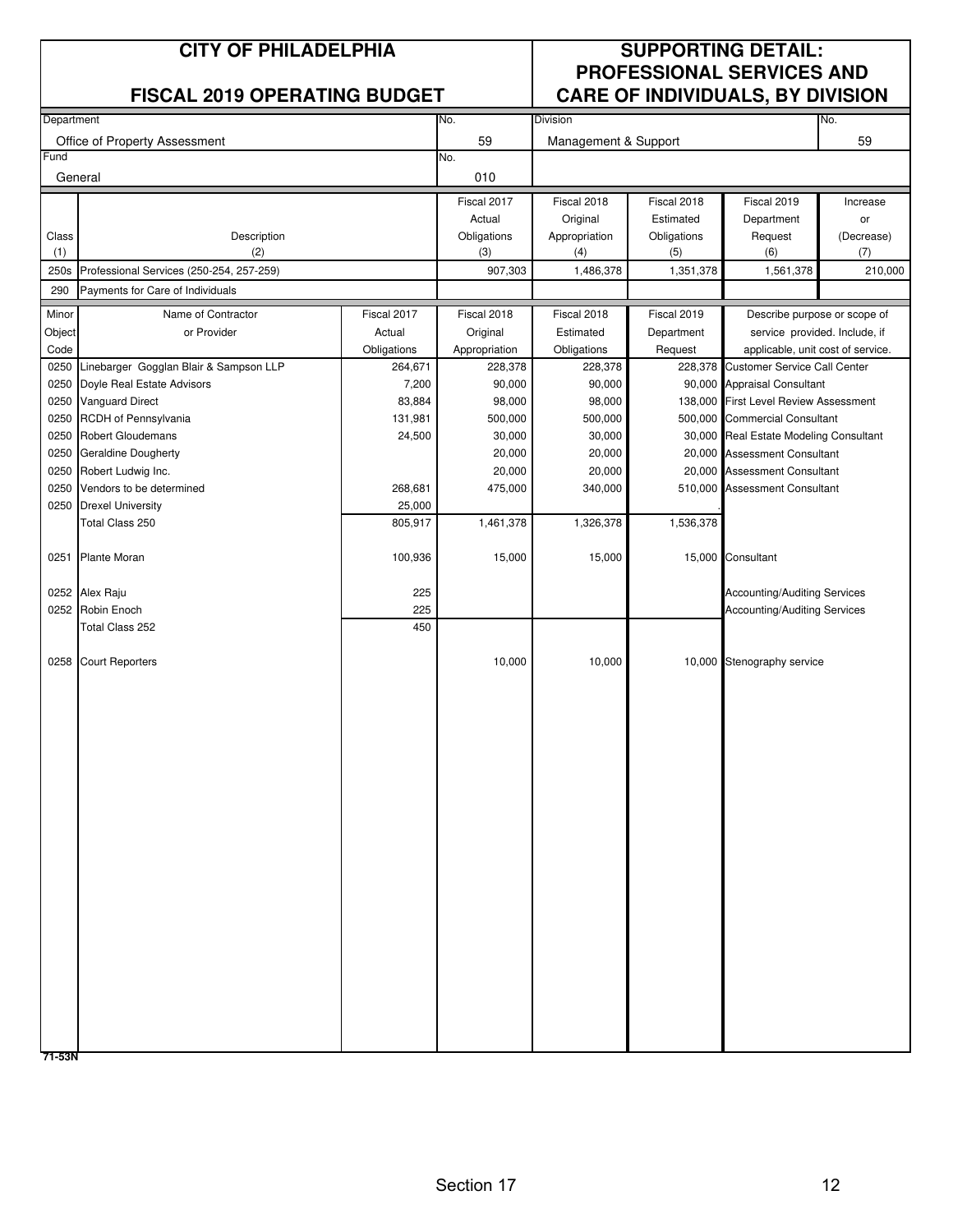|              | <b>CITY OF PHILADELPHIA</b><br><b>FISCAL 2019 OPERATING BUDGET</b>   |                  |                       | <b>SUPPORTING DETAIL:</b><br><b>PROFESSIONAL SERVICES AND</b><br><b>CARE OF INDIVIDUALS, BY DIVISION</b> |                          |                                                                          |                  |
|--------------|----------------------------------------------------------------------|------------------|-----------------------|----------------------------------------------------------------------------------------------------------|--------------------------|--------------------------------------------------------------------------|------------------|
| Department   |                                                                      |                  | No.                   | Division                                                                                                 |                          |                                                                          | No.              |
|              | Office of Property Assessment                                        |                  | 59                    | Management & Support                                                                                     |                          |                                                                          | 59               |
| Fund         |                                                                      |                  | No.                   |                                                                                                          |                          |                                                                          |                  |
| General      |                                                                      |                  | 010                   |                                                                                                          |                          |                                                                          |                  |
|              |                                                                      |                  | Fiscal 2017           | Fiscal 2018                                                                                              | Fiscal 2018              | Fiscal 2019                                                              | Increase         |
| Class        | Description                                                          |                  | Actual<br>Obligations | Original<br>Appropriation                                                                                | Estimated<br>Obligations | Department<br>Request                                                    | or<br>(Decrease) |
| (1)          | (2)                                                                  |                  | (3)                   | (4)                                                                                                      | (5)                      | (6)                                                                      | (7)              |
| 250s         | Professional Services (250-254, 257-259)                             |                  | 907,303               | 1,486,378                                                                                                | 1,351,378                | 1,561,378                                                                | 210,000          |
| 290          | Payments for Care of Individuals                                     |                  |                       |                                                                                                          |                          |                                                                          |                  |
| Minor        | Name of Contractor                                                   | Fiscal 2017      | Fiscal 2018           | Fiscal 2018                                                                                              | Fiscal 2019              | Describe purpose or scope of                                             |                  |
| Object       | or Provider                                                          | Actual           | Original              | Estimated                                                                                                | Department               | service provided. Include, if                                            |                  |
| Code         |                                                                      | Obligations      | Appropriation         | Obligations                                                                                              | Request                  | applicable, unit cost of service.<br><b>Customer Service Call Center</b> |                  |
| 0250<br>0250 | Linebarger Gogglan Blair & Sampson LLP<br>Doyle Real Estate Advisors | 264,671<br>7,200 | 228,378<br>90,000     | 228,378<br>90,000                                                                                        | 228,378                  | 90,000 Appraisal Consultant                                              |                  |
| 0250         | <b>Vanguard Direct</b>                                               | 83,884           | 98,000                | 98,000                                                                                                   | 138,000                  | <b>First Level Review Assessment</b>                                     |                  |
| 0250         | RCDH of Pennsylvania                                                 | 131,981          | 500,000               | 500,000                                                                                                  |                          | 500,000 Commercial Consultant                                            |                  |
| 0250         | <b>Robert Gloudemans</b>                                             | 24,500           | 30,000                | 30,000                                                                                                   |                          | 30,000 Real Estate Modeling Consultant                                   |                  |
| 0250         | <b>Geraldine Dougherty</b>                                           |                  | 20,000                | 20,000                                                                                                   |                          | 20,000 Assessment Consultant                                             |                  |
| 0250         | Robert Ludwig Inc.                                                   |                  | 20,000                | 20,000                                                                                                   |                          | 20,000 Assessment Consultant                                             |                  |
| 0250         | Vendors to be determined                                             | 268,681          | 475,000               | 340,000                                                                                                  |                          | 510,000 Assessment Consultant                                            |                  |
| 0250         | <b>Drexel University</b>                                             | 25,000           |                       |                                                                                                          |                          |                                                                          |                  |
|              | Total Class 250                                                      | 805,917          | 1,461,378             | 1,326,378                                                                                                | 1,536,378                |                                                                          |                  |
| 0251         | <b>Plante Moran</b>                                                  | 100,936          | 15,000                | 15,000                                                                                                   |                          | 15,000 Consultant                                                        |                  |
|              | 0252 Alex Raju                                                       | 225              |                       |                                                                                                          |                          | Accounting/Auditing Services                                             |                  |
|              | 0252 Robin Enoch                                                     | 225              |                       |                                                                                                          |                          | <b>Accounting/Auditing Services</b>                                      |                  |
|              | Total Class 252                                                      | 450              |                       |                                                                                                          |                          |                                                                          |                  |
|              | 0258 Court Reporters                                                 |                  | 10,000                | 10,000                                                                                                   |                          | 10,000 Stenography service                                               |                  |
|              |                                                                      |                  |                       |                                                                                                          |                          |                                                                          |                  |
|              |                                                                      |                  |                       |                                                                                                          |                          |                                                                          |                  |
|              |                                                                      |                  |                       |                                                                                                          |                          |                                                                          |                  |
|              |                                                                      |                  |                       |                                                                                                          |                          |                                                                          |                  |
|              |                                                                      |                  |                       |                                                                                                          |                          |                                                                          |                  |
|              |                                                                      |                  |                       |                                                                                                          |                          |                                                                          |                  |
|              |                                                                      |                  |                       |                                                                                                          |                          |                                                                          |                  |
|              |                                                                      |                  |                       |                                                                                                          |                          |                                                                          |                  |
|              |                                                                      |                  |                       |                                                                                                          |                          |                                                                          |                  |
| 71-53N       |                                                                      |                  |                       |                                                                                                          |                          |                                                                          |                  |